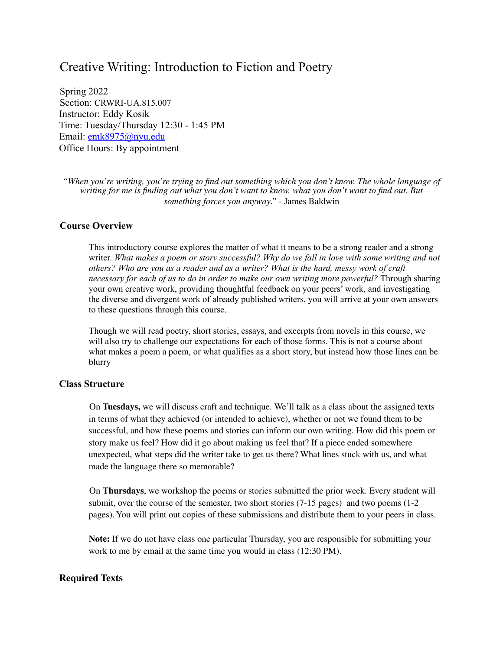# Creative Writing: Introduction to Fiction and Poetry

Spring 2022 Section: CRWRI-UA.815.007 Instructor: Eddy Kosik Time: Tuesday/Thursday 12:30 - 1:45 PM Email: emk8975@nyu.edu Office Hours: By appointment

*"When you're writing, you're trying to find out something which you don't know. The whole language of* writing for me is finding out what you don't want to know, what you don't want to find out. But *something forces you anyway."* - James Baldwin

#### **Course Overview**

This introductory course explores the matter of what it means to be a strong reader and a strong writer. *What makes a poem or story successful? Why do we fall in love with some writing and not others? Who are you as a reader and as a writer? What is the hard, messy work of craft necessary for each of us to do in order to make our own writing more powerful?* Through sharing your own creative work, providing thoughtful feedback on your peers' work, and investigating the diverse and divergent work of already published writers, you will arrive at your own answers to these questions through this course.

Though we will read poetry, short stories, essays, and excerpts from novels in this course, we will also try to challenge our expectations for each of those forms. This is not a course about what makes a poem a poem, or what qualifies as a short story, but instead how those lines can be blurry

## **Class Structure**

On **Tuesdays,** we will discuss craft and technique. We'll talk as a class about the assigned texts in terms of what they achieved (or intended to achieve), whether or not we found them to be successful, and how these poems and stories can inform our own writing. How did this poem or story make us feel? How did it go about making us feel that? If a piece ended somewhere unexpected, what steps did the writer take to get us there? What lines stuck with us, and what made the language there so memorable?

On **Thursdays**, we workshop the poems or stories submitted the prior week. Every student will submit, over the course of the semester, two short stories (7-15 pages) and two poems (1-2 pages). You will print out copies of these submissions and distribute them to your peers in class.

**Note:** If we do not have class one particular Thursday, you are responsible for submitting your work to me by email at the same time you would in class (12:30 PM).

#### **Required Texts**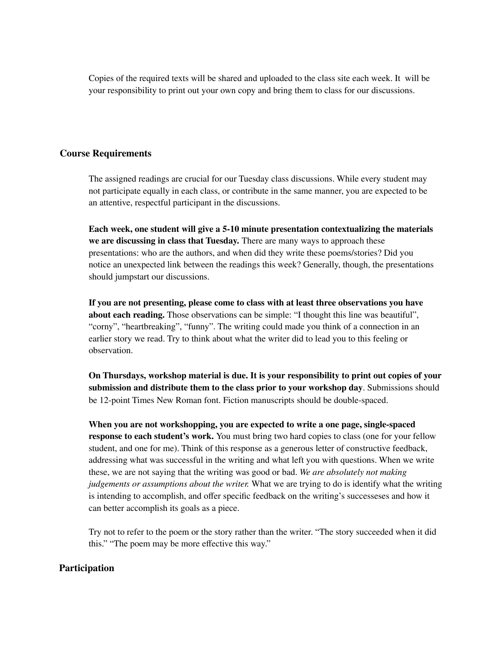Copies of the required texts will be shared and uploaded to the class site each week. It will be your responsibility to print out your own copy and bring them to class for our discussions.

## **Course Requirements**

The assigned readings are crucial for our Tuesday class discussions. While every student may not participate equally in each class, or contribute in the same manner, you are expected to be an attentive, respectful participant in the discussions.

**Each week, one student will give a 5-10 minute presentation contextualizing the materials we are discussing in class that Tuesday.** There are many ways to approach these presentations: who are the authors, and when did they write these poems/stories? Did you notice an unexpected link between the readings this week? Generally, though, the presentations should jumpstart our discussions.

**If you are not presenting, please come to class with at least three observations you have about each reading.** Those observations can be simple: "I thought this line was beautiful", "corny", "heartbreaking", "funny". The writing could made you think of a connection in an earlier story we read. Try to think about what the writer did to lead you to this feeling or observation.

**On Thursdays, workshop material is due. It is your responsibility to print out copies of your submission and distribute them to the class prior to your workshop day**. Submissions should be 12-point Times New Roman font. Fiction manuscripts should be double-spaced.

**When you are not workshopping, you are expected to write a one page, single-spaced response to each student's work.** You must bring two hard copies to class (one for your fellow student, and one for me). Think of this response as a generous letter of constructive feedback, addressing what was successful in the writing and what left you with questions. When we write these, we are not saying that the writing was good or bad. *We are absolutely not making judgements or assumptions about the writer.* What we are trying to do is identify what the writing is intending to accomplish, and offer specific feedback on the writing's successeses and how it can better accomplish its goals as a piece.

Try not to refer to the poem or the story rather than the writer. "The story succeeded when it did this." "The poem may be more effective this way."

#### **Participation**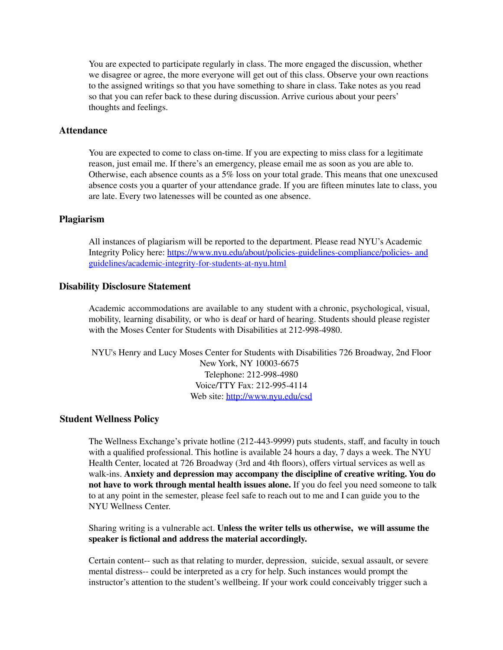You are expected to participate regularly in class. The more engaged the discussion, whether we disagree or agree, the more everyone will get out of this class. Observe your own reactions to the assigned writings so that you have something to share in class. Take notes as you read so that you can refer back to these during discussion. Arrive curious about your peers' thoughts and feelings.

#### **Attendance**

You are expected to come to class on-time. If you are expecting to miss class for a legitimate reason, just email me. If there's an emergency, please email me as soon as you are able to. Otherwise, each absence counts as a 5% loss on your total grade. This means that one unexcused absence costs you a quarter of your attendance grade. If you are fifteen minutes late to class, you are late. Every two latenesses will be counted as one absence.

### **Plagiarism**

All instances of plagiarism will be reported to the department. Please read NYU's Academic Integrity Policy here: https://www.nyu.edu/about/policies-guidelines-compliance/policies- and guidelines/academic-integrity-for-students-at-nyu.html

#### **Disability Disclosure Statement**

Academic accommodations are available to any student with a chronic, psychological, visual, mobility, learning disability, or who is deaf or hard of hearing. Students should please register with the Moses Center for Students with Disabilities at 212-998-4980.

NYU's Henry and Lucy Moses Center for Students with Disabilities 726 Broadway, 2nd Floor New York, NY 10003-6675 Telephone: 212-998-4980 Voice/TTY Fax: 212-995-4114 Web site: http://www.nyu.edu/csd

#### **Student Wellness Policy**

The Wellness Exchange's private hotline (212-443-9999) puts students, staff, and faculty in touch with a qualified professional. This hotline is available 24 hours a day, 7 days a week. The NYU Health Center, located at 726 Broadway (3rd and 4th floors), offers virtual services as well as walk-ins. **Anxiety and depression may accompany the discipline of creative writing. You do not have to work through mental health issues alone.** If you do feel you need someone to talk to at any point in the semester, please feel safe to reach out to me and I can guide you to the NYU Wellness Center.

Sharing writing is a vulnerable act. **Unless the writer tells us otherwise, we will assume the speaker is fictional and address the material accordingly.**

Certain content-- such as that relating to murder, depression, suicide, sexual assault, or severe mental distress-- could be interpreted as a cry for help. Such instances would prompt the instructor's attention to the student's wellbeing. If your work could conceivably trigger such a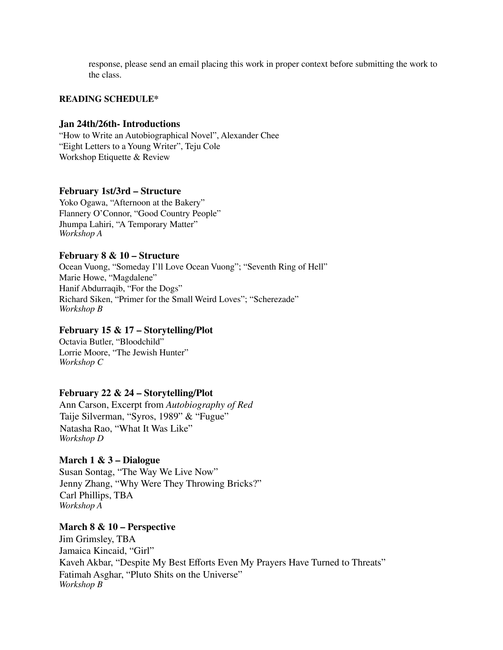response, please send an email placing this work in proper context before submitting the work to the class.

#### **READING SCHEDULE\***

## **Jan 24th/26th- Introductions**

"How to Write an Autobiographical Novel", Alexander Chee "Eight Letters to a Young Writer", Teju Cole Workshop Etiquette & Review

## **February 1st/3rd – Structure**

Yoko Ogawa, "Afternoon at the Bakery" Flannery O'Connor, "Good Country People" Jhumpa Lahiri, "A Temporary Matter" *Workshop A*

## **February 8 & 10 – Structure**

Ocean Vuong, "Someday I'll Love Ocean Vuong"; "Seventh Ring of Hell" Marie Howe, "Magdalene" Hanif Abdurraqib, "For the Dogs" Richard Siken, "Primer for the Small Weird Loves"; "Scherezade" *Workshop B*

## **February 15 & 17 – Storytelling/Plot**

Octavia Butler, "Bloodchild" Lorrie Moore, "The Jewish Hunter" *Workshop C*

## **February 22 & 24 – Storytelling/Plot**

Ann Carson, Excerpt from *Autobiography of Red* Taije Silverman, "Syros, 1989" & "Fugue" Natasha Rao, "What It Was Like" *Workshop D*

# **March 1 & 3 – Dialogue**

Susan Sontag, "The Way We Live Now" Jenny Zhang, "Why Were They Throwing Bricks?" Carl Phillips, TBA *Workshop A*

## **March 8 & 10 – Perspective**

Jim Grimsley, TBA Jamaica Kincaid, "Girl" Kaveh Akbar, "Despite My Best Efforts Even My Prayers Have Turned to Threats" Fatimah Asghar, "Pluto Shits on the Universe" *Workshop B*